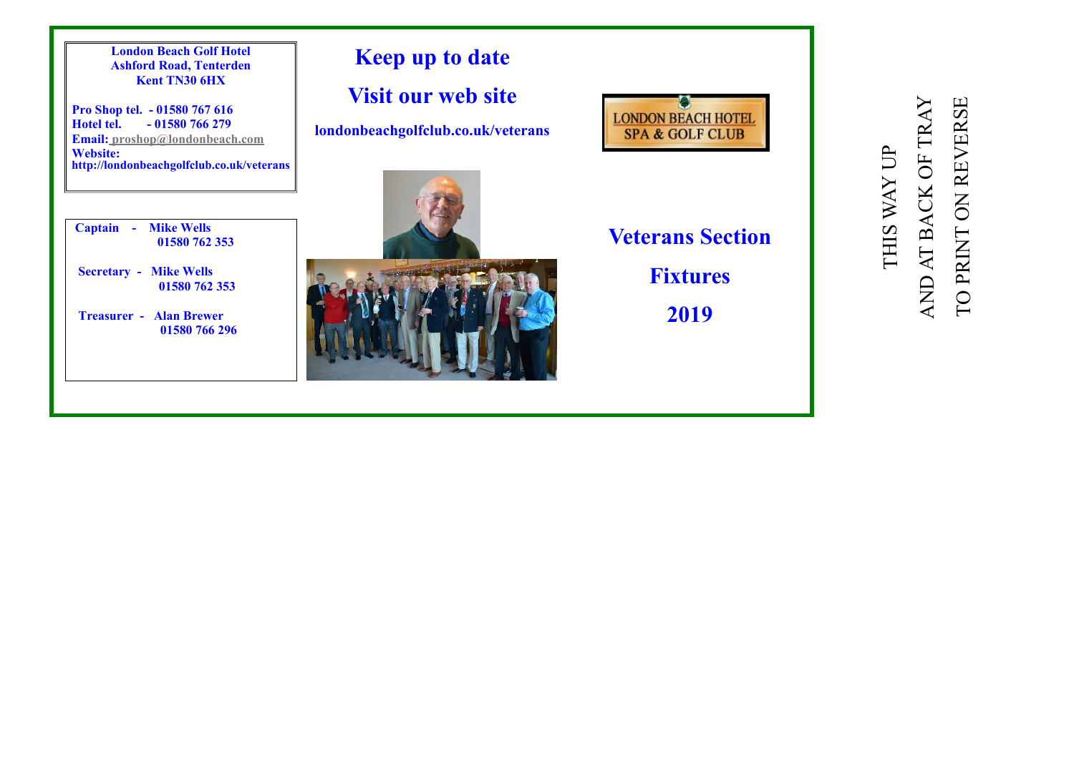

TO PRINT ON REVERSE

TO PRINT ON REVERSE